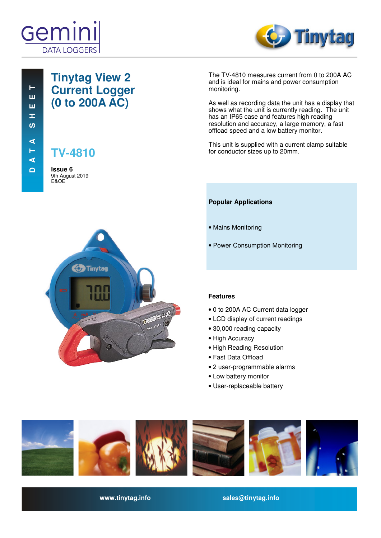



## **Tinytag View 2 Current Logger (0 to 200A AC)**

**TV-4810**

**Issue 6**  9th August 2019 E&OE



The TV-4810 measures current from 0 to 200A AC and is ideal for mains and power consumption monitoring.

As well as recording data the unit has a display that shows what the unit is currently reading. The unit has an IP65 case and features high reading resolution and accuracy, a large memory, a fast offload speed and a low battery monitor.

This unit is supplied with a current clamp suitable for conductor sizes up to 20mm.

## **Popular Applications**

- Mains Monitoring
- Power Consumption Monitoring

## **Features**

- 0 to 200A AC Current data logger
- LCD display of current readings
- 30,000 reading capacity
- High Accuracy
- High Reading Resolution
- Fast Data Offload
- 2 user-programmable alarms
- Low battery monitor
- User-replaceable battery



**www.tinytag.info sales@tinytag.info**